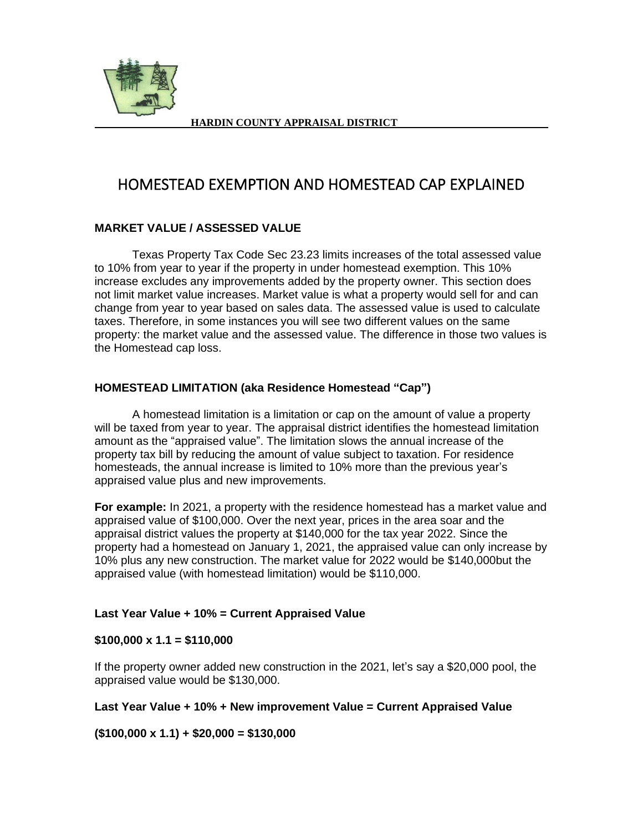

# HOMESTEAD EXEMPTION AND HOMESTEAD CAP EXPLAINED

## **MARKET VALUE / ASSESSED VALUE**

Texas Property Tax Code Sec 23.23 limits increases of the total assessed value to 10% from year to year if the property in under homestead exemption. This 10% increase excludes any improvements added by the property owner. This section does not limit market value increases. Market value is what a property would sell for and can change from year to year based on sales data. The assessed value is used to calculate taxes. Therefore, in some instances you will see two different values on the same property: the market value and the assessed value. The difference in those two values is the Homestead cap loss.

## **HOMESTEAD LIMITATION (aka Residence Homestead "Cap")**

A homestead limitation is a limitation or cap on the amount of value a property will be taxed from year to year. The appraisal district identifies the homestead limitation amount as the "appraised value". The limitation slows the annual increase of the property tax bill by reducing the amount of value subject to taxation. For residence homesteads, the annual increase is limited to 10% more than the previous year's appraised value plus and new improvements.

**For example:** In 2021, a property with the residence homestead has a market value and appraised value of \$100,000. Over the next year, prices in the area soar and the appraisal district values the property at \$140,000 for the tax year 2022. Since the property had a homestead on January 1, 2021, the appraised value can only increase by 10% plus any new construction. The market value for 2022 would be \$140,000but the appraised value (with homestead limitation) would be \$110,000.

# **Last Year Value + 10% = Current Appraised Value**

### **\$100,000 x 1.1 = \$110,000**

If the property owner added new construction in the 2021, let's say a \$20,000 pool, the appraised value would be \$130,000.

### **Last Year Value + 10% + New improvement Value = Current Appraised Value**

**(\$100,000 x 1.1) + \$20,000 = \$130,000**